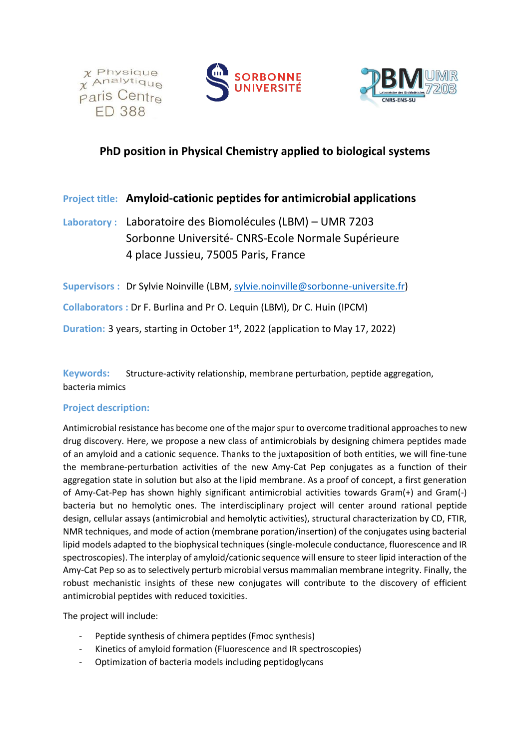





# **PhD position in Physical Chemistry applied to biological systems**

## **Project title: Amyloid-cationic peptides for antimicrobial applications**

**Laboratory :** Laboratoire des Biomolécules (LBM) – UMR 7203 Sorbonne Université- CNRS-Ecole Normale Supérieure 4 place Jussieu, 75005 Paris, France

**Supervisors :** Dr Sylvie Noinville (LBM, [sylvie.noinville@sorbonne-universite.fr\)](mailto:sylvie.noinville@sorbonne-universite.fr) **Collaborators :** Dr F. Burlina and Pr O. Lequin (LBM), Dr C. Huin (IPCM)

**Duration:** 3 years, starting in October 1<sup>st</sup>, 2022 (application to May 17, 2022)

**Keywords:** Structure-activity relationship, membrane perturbation, peptide aggregation, bacteria mimics

### **Project description:**

Antimicrobial resistance has become one of the major spur to overcome traditional approaches to new drug discovery. Here, we propose a new class of antimicrobials by designing chimera peptides made of an amyloid and a cationic sequence. Thanks to the juxtaposition of both entities, we will fine-tune the membrane-perturbation activities of the new Amy-Cat Pep conjugates as a function of their aggregation state in solution but also at the lipid membrane. As a proof of concept, a first generation of Amy-Cat-Pep has shown highly significant antimicrobial activities towards Gram(+) and Gram(-) bacteria but no hemolytic ones. The interdisciplinary project will center around rational peptide design, cellular assays (antimicrobial and hemolytic activities), structural characterization by CD, FTIR, NMR techniques, and mode of action (membrane poration/insertion) of the conjugates using bacterial lipid models adapted to the biophysical techniques (single-molecule conductance, fluorescence and IR spectroscopies). The interplay of amyloid/cationic sequence will ensure to steer lipid interaction of the Amy-Cat Pep so as to selectively perturb microbial versus mammalian membrane integrity. Finally, the robust mechanistic insights of these new conjugates will contribute to the discovery of efficient antimicrobial peptides with reduced toxicities.

The project will include:

- Peptide synthesis of chimera peptides (Fmoc synthesis)
- Kinetics of amyloid formation (Fluorescence and IR spectroscopies)
- Optimization of bacteria models including peptidoglycans